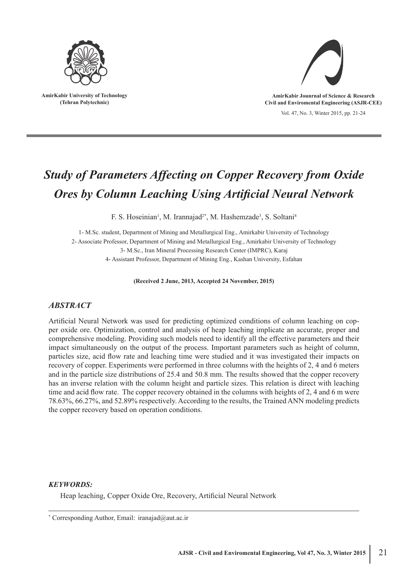

**AmirKabir University of Technology (Tehran Polytechnic)**



Vol. 47, No. 3, Winter 2015, pp. 21-24 **AmirKabir Jounrnal of Science & Research Civil and Enviromental Engineering (ASJR-CEE)**

# *Study of Parameters Affecting on Copper Recovery from Oxide Ores by Column Leaching Using Artificial Neural Network*

F. S. Hoseinian<sup>1</sup>, M. Irannajad<sup>2\*</sup>, M. Hashemzade<sup>3</sup>, S. Soltani<sup>4</sup>

1- M.Sc. student, Department of Mining and Metallurgical Eng., Amirkabir University of Technology 2- Associate Professor, Department of Mining and Metallurgical Eng., Amirkabir University of Technology 3- M.Sc., Iran Mineral Processing Research Center (IMPRC), Karaj 4- Assistant Professor, Department of Mining Eng., Kashan University, Esfahan

**(Received 2 June, 2013, Accepted 24 November, 2015)**

## *ABSTRACT*

Artificial Neural Network was used for predicting optimized conditions of column leaching on copper oxide ore. Optimization, control and analysis of heap leaching implicate an accurate, proper and comprehensive modeling. Providing such models need to identify all the effective parameters and their impact simultaneously on the output of the process. Important parameters such as height of column, particles size, acid flow rate and leaching time were studied and it was investigated their impacts on recovery of copper. Experiments were performed in three columns with the heights of 2, 4 and 6 meters and in the particle size distributions of 25.4 and 50.8 mm. The results showed that the copper recovery has an inverse relation with the column height and particle sizes. This relation is direct with leaching time and acid flow rate. The copper recovery obtained in the columns with heights of 2, 4 and 6 m were 78.63%, 66.27%, and 52.89% respectively. According to the results, the Trained ANN modeling predicts the copper recovery based on operation conditions.

## *KEYWORDS:*

Heap leaching, Copper Oxide Ore, Recovery, Artificial Neural Network

<sup>\*</sup> Corresponding Author, Email: iranajad@aut.ac.ir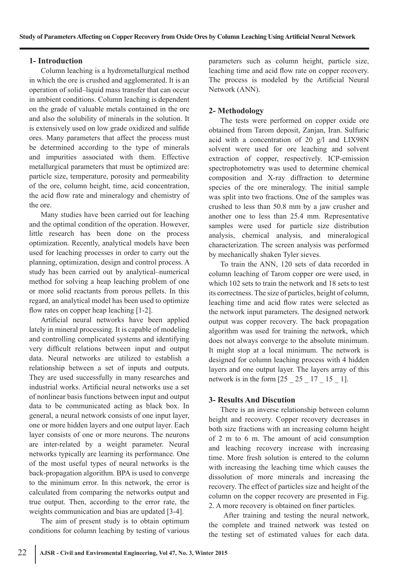#### **1- Introduction**

Column leaching is a hydrometallurgical method in which the ore is crushed and agglomerated. It is an operation of solid–liquid mass transfer that can occur in ambient conditions. Column leaching is dependent on the grade of valuable metals contained in the ore and also the solubility of minerals in the solution. It is extensively used on low grade oxidized and sulfide ores. Many parameters that affect the process must be determined according to the type of minerals and impurities associated with them. Effective metallurgical parameters that must be optimized are: particle size, temperature, porosity and permeability of the ore, column height, time, acid concentration, the acid flow rate and mineralogy and chemistry of the ore.

Many studies have been carried out for leaching and the optimal condition of the operation. However, little research has been done on the process optimization. Recently, analytical models have been used for leaching processes in order to carry out the planning, optimization, design and control process. A study has been carried out by analytical–numerical method for solving a heap leaching problem of one or more solid reactants from porous pellets. In this regard, an analytical model has been used to optimize flow rates on copper heap leaching [1-2].

Artificial neural networks have been applied lately in mineral processing. It is capable of modeling and controlling complicated systems and identifying very difficult relations between input and output data. Neural networks are utilized to establish a relationship between a set of inputs and outputs. They are used successfully in many researches and industrial works. Artificial neural networks use a set of nonlinear basis functions between input and output data to be communicated acting as black box. In general, a neural network consists of one input layer, one or more hidden layers and one output layer. Each layer consists of one or more neurons. The neurons are inter-related by a weight parameter. Neural networks typically are learning its performance. One of the most useful types of neural networks is the back-propagation algorithm. BPA is used to converge to the minimum error. In this network, the error is calculated from comparing the networks output and true output. Then, according to the error rate, the weights communication and bias are updated [3-4].

The aim of present study is to obtain optimum conditions for column leaching by testing of various

parameters such as column height, particle size, leaching time and acid flow rate on copper recovery. The process is modeled by the Artificial Neural Network (ANN).

## **2- Methodology**

The tests were performed on copper oxide ore obtained from Tarom deposit, Zanjan, Iran. Sulfuric acid with a concentration of 20 g/l and LIX98N solvent were used for ore leaching and solvent extraction of copper, respectively. ICP-emission spectrophotometry was used to determine chemical composition and X-ray diffraction to determine species of the ore mineralogy. The initial sample was split into two fractions. One of the samples was crushed to less than 50.8 mm by a jaw crusher and another one to less than 25.4 mm. Representative samples were used for particle size distribution analysis, chemical analysis, and mineralogical characterization. The screen analysis was performed by mechanically shaken Tyler sieves.

To train the ANN, 120 sets of data recorded in column leaching of Tarom copper ore were used, in which 102 sets to train the network and 18 sets to test its correctness. The size of particles, height of column, leaching time and acid flow rates were selected as the network input parameters. The designed network output was copper recovery. The back propagation algorithm was used for training the network, which does not always converge to the absolute minimum. It might stop at a local minimum. The network is designed for column leaching process with 4 hidden layers and one output layer. The layers array of this network is in the form  $\begin{bmatrix} 25 & 25 & 17 & 15 & 1 \end{bmatrix}$ .

## **3- Results And Discution**

There is an inverse relationship between column height and recovery. Copper recovery decreases in both size fractions with an increasing column height of 2 m to 6 m. The amount of acid consumption and leaching recovery increase with increasing time. More fresh solution is entered to the column with increasing the leaching time which causes the dissolution of more minerals and increasing the recovery. The effect of particles size and height of the column on the copper recovery are presented in Fig. 2. A more recovery is obtained on finer particles.

 After training and testing the neural network, the complete and trained network was tested on the testing set of estimated values for each data.